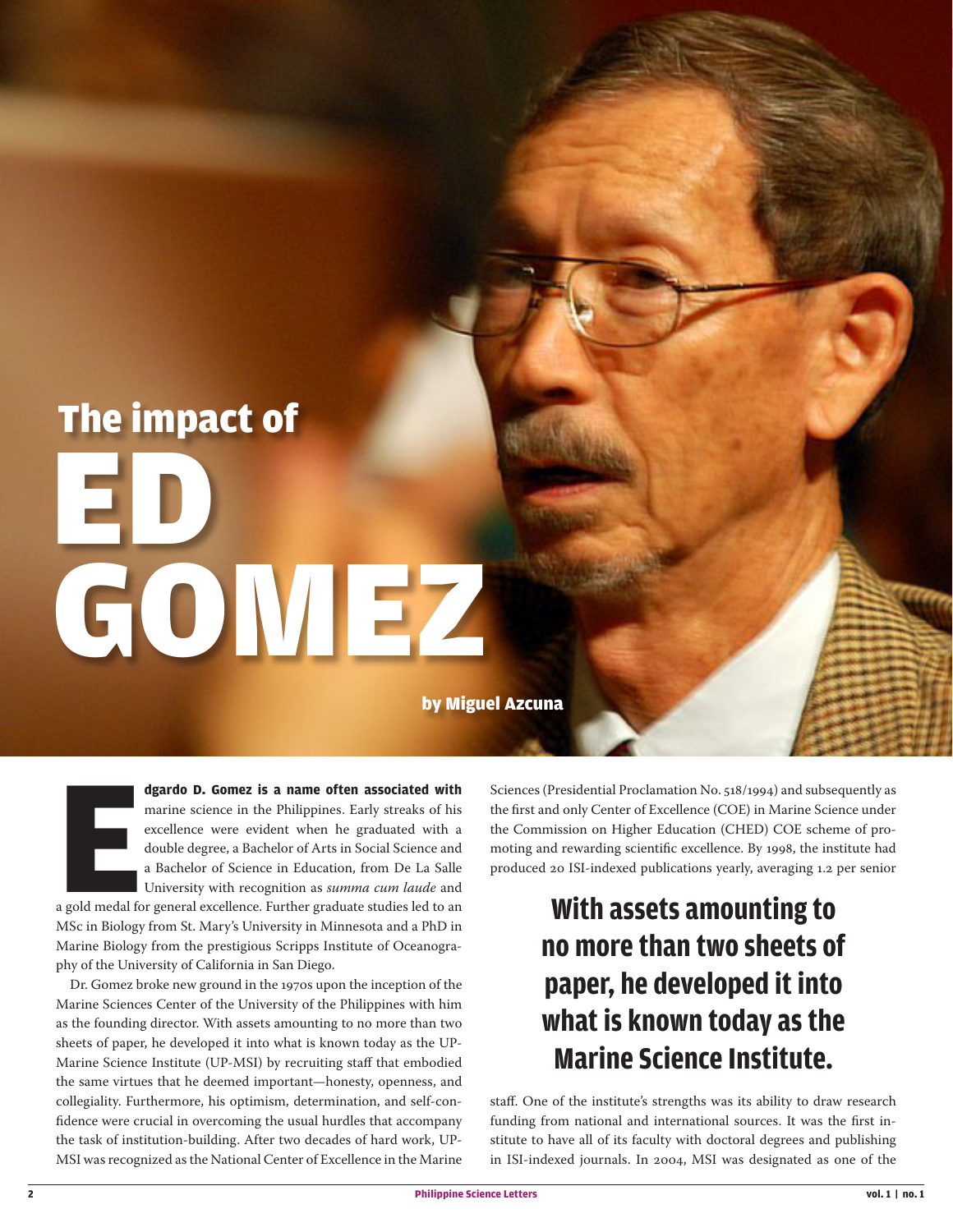# The impact of GOMEZ ED

by Miguel Azcuna

**E dgardo D. Gomez is a name often associated with** marine science in the Philippines. Early streaks of his excellence were evident when he graduated with a double degree, a Bachelor of Arts in Social Science and a Bachelor of Science in Education, from De La Salle University with recognition as *summa cum laude* and a gold medal for general excellence. Further graduate studies led to an MSc in Biology from St. Mary's University in Minnesota and a PhD in Marine Biology from the prestigious Scripps Institute of Oceanogra-

Dr. Gomez broke new ground in the 1970s upon the inception of the Marine Sciences Center of the University of the Philippines with him as the founding director. With assets amounting to no more than two sheets of paper, he developed it into what is known today as the UP-Marine Science Institute (UP-MSI) by recruiting staff that embodied the same virtues that he deemed important—honesty, openness, and collegiality. Furthermore, his optimism, determination, and self-confidence were crucial in overcoming the usual hurdles that accompany the task of institution-building. After two decades of hard work, UP-MSI was recognized as the National Center of Excellence in the Marine

phy of the University of California in San Diego.

Sciences (Presidential Proclamation No. 518/1994) and subsequently as the first and only Center of Excellence (COE) in Marine Science under the Commission on Higher Education (CHED) COE scheme of promoting and rewarding scientific excellence. By 1998, the institute had produced 20 ISI-indexed publications yearly, averaging 1.2 per senior

## **With assets amounting to no more than two sheets of paper, he developed it into what is known today as the Marine Science Institute.**

staff. One of the institute's strengths was its ability to draw research funding from national and international sources. It was the first institute to have all of its faculty with doctoral degrees and publishing in ISI-indexed journals. In 2004, MSI was designated as one of the